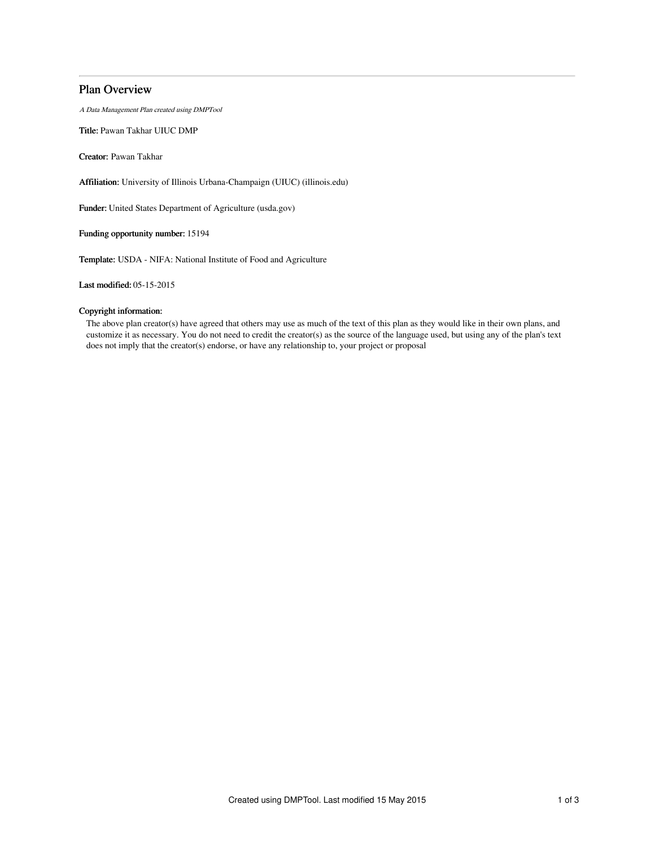# Plan Overview

A Data Management Plan created using DMPTool

Title: Pawan Takhar UIUC DMP

Creator: Pawan Takhar

Affiliation: University of Illinois Urbana-Champaign (UIUC) (illinois.edu)

Funder: United States Department of Agriculture (usda.gov)

Funding opportunity number: 15194

Template: USDA - NIFA: National Institute of Food and Agriculture

Last modified: 05-15-2015

# Copyright information:

The above plan creator(s) have agreed that others may use as much of the text of this plan as they would like in their own plans, and customize it as necessary. You do not need to credit the creator(s) as the source of the language used, but using any of the plan's text does not imply that the creator(s) endorse, or have any relationship to, your project or proposal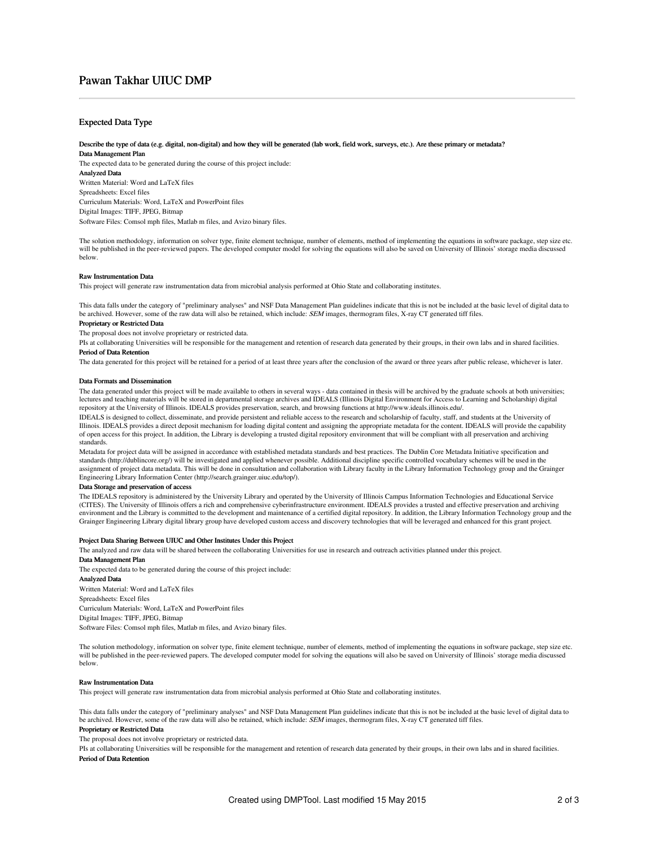# Pawan Takhar UIUC DMP

## Expected Data Type

#### Describe the type of data (e.g. digital, non-digital) and how they will be generated (lab work, field work, surveys, etc.). Are these primary or metadata? Data Management Plan

The expected data to be generated during the course of this project include: Analyzed Data Written Material: Word and LaTeX files Spreadsheets: Excel files Curriculum Materials: Word, LaTeX and PowerPoint files Digital Images: TIFF, JPEG, Bitmap Software Files: Comsol mph files, Matlab m files, and Avizo binary files.

The solution methodology, information on solver type, finite element technique, number of elements, method of implementing the equations in software package, step size etc. will be published in the peer-reviewed papers. The developed computer model for solving the equations will also be saved on University of Illinois' storage media discussed below.

#### Raw Instrumentation Data

This project will generate raw instrumentation data from microbial analysis performed at Ohio State and collaborating institutes.

This data falls under the category of "preliminary analyses" and NSF Data Management Plan guidelines indicate that this is not be included at the basic level of digital data to be archived. However, some of the raw data will also be retained, which include: SEM images, thermogram files, X-ray CT generated tiff files.

## Proprietary or Restricted Data

The proposal does not involve proprietary or restricted data.

PIs at collaborating Universities will be responsible for the management and retention of research data generated by their groups, in their own labs and in shared facilities. Period of Data Retention

The data generated for this project will be retained for a period of at least three years after the conclusion of the award or three years after public release, whichever is later.

#### Data Formats and Dissemination

The data generated under this project will be made available to others in several ways - data contained in thesis will be archived by the graduate schools at both universities; lectures and teaching materials will be stored in departmental storage archives and IDEALS (Illinois Digital Environment for Access to Learning and Scholarship) digital repository at the University of Illinois. IDEALS provides preservation, search, and browsing functions at http://www.ideals.illinois.edu/.

IDEALS is designed to collect, disseminate, and provide persistent and reliable access to the research and scholarship of faculty, staff, and students at the University of Illinois. IDEALS provides a direct deposit mechanism for loading digital content and assigning the appropriate metadata for the content. IDEALS will provide the capability of open access for this project. In addition, the Library is developing a trusted digital repository environment that will be compliant with all preservation and archiving standards.

Metadata for project data will be assigned in accordance with established metadata standards and best practices. The Dublin Core Metadata Initiative specification and standards (http://dublincore.org/) will be investigated and applied whenever possible. Additional discipline specific controlled vocabulary schemes will be used in the assignment of project data metadata. This will be done in consultation and collaboration with Library faculty in the Library Information Technology group and the Grainger Engineering Library Information Center (http://search.grainger.uiuc.edu/top/).

#### Data Storage and preservation of access

The IDEALS repository is administered by the University Library and operated by the University of Illinois Campus Information Technologies and Educational Service (CITES). The University of Illinois offers a rich and comprehensive cyberinfrastructure environment. IDEALS provides a trusted and effective preservation and archiving environment and the Library is committed to the development and maintenance of a certified digital repository. In addition, the Library Information Technology group and the Grainger Engineering Library digital library group have developed custom access and discovery technologies that will be leveraged and enhanced for this grant project.

#### Project Data Sharing Between UIUC and Other Institutes Under this Project

The analyzed and raw data will be shared between the collaborating Universities for use in research and outreach activities planned under this project. Data Management Plan

The expected data to be generated during the course of this project include: Analyzed Data Written Material: Word and LaTeX files Spreadsheets: Excel files Curriculum Materials: Word, LaTeX and PowerPoint files Digital Images: TIFF, JPEG, Bitmap Software Files: Comsol mph files, Matlab m files, and Avizo binary files.

The solution methodology, information on solver type, finite element technique, number of elements, method of implementing the equations in software package, step size etc. will be published in the peer-reviewed papers. The developed computer model for solving the equations will also be saved on University of Illinois' storage media discussed below.

#### Raw Instrumentation Data

This project will generate raw instrumentation data from microbial analysis performed at Ohio State and collaborating institutes.

This data falls under the category of "preliminary analyses" and NSF Data Management Plan guidelines indicate that this is not be included at the basic level of digital data to be archived. However, some of the raw data will also be retained, which include: SEM images, thermogram files, X-ray CT generated tiff files.

# Proprietary or Restricted Data

The proposal does not involve proprietary or restricted data.

PIs at collaborating Universities will be responsible for the management and retention of research data generated by their groups, in their own labs and in shared facilities. Period of Data Retention